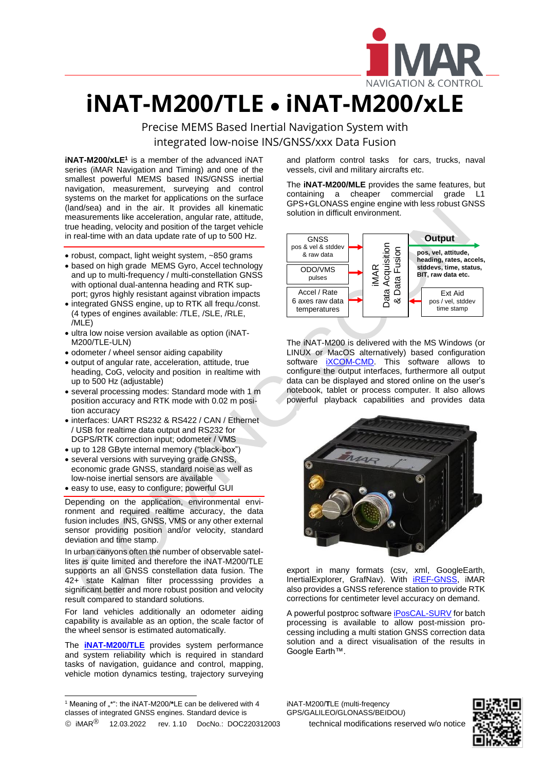

## **iNAT-M200/TLE** • **iNAT-M200/xLE**

Precise MEMS Based Inertial Navigation System with integrated low-noise INS/GNSS/xxx Data Fusion

**iNAT-M200/xLE<sup>1</sup>** is a member of the advanced iNAT series (iMAR Navigation and Timing) and one of the smallest powerful MEMS based INS/GNSS inertial navigation, measurement, surveying and control systems on the market for applications on the surface (land/sea) and in the air. It provides all kinematic measurements like acceleration, angular rate, attitude, true heading, velocity and position of the target vehicle in real-time with an data update rate of up to 500 Hz.

- robust, compact, light weight system, ~850 grams
- based on high grade MEMS Gyro, Accel technology and up to multi-frequency / multi-constellation GNSS with optional dual-antenna heading and RTK support; gyros highly resistant against vibration impacts
- integrated GNSS engine, up to RTK all frequ./const. (4 types of engines available: /TLE, /SLE, /RLE, /MLE)
- ultra low noise version available as option (iNAT-M200/TLE-ULN)
- odometer / wheel sensor aiding capability
- output of angular rate, acceleration, attitude, true heading, CoG, velocity and position in realtime with up to 500 Hz (adjustable)
- several processing modes: Standard mode with 1 m position accuracy and RTK mode with 0.02 m position accuracy
- interfaces: UART RS232 & RS422 / CAN / Ethernet / USB for realtime data output and RS232 for DGPS/RTK correction input; odometer / VMS
- up to 128 GByte internal memory ("black-box")
- several versions with surveying grade GNSS, economic grade GNSS, standard noise as well as low-noise inertial sensors are available
- easy to use, easy to configure; powerful GUI

Depending on the application, environmental environment and required realtime accuracy, the data fusion includes INS, GNSS, VMS or any other external sensor providing position and/or velocity, standard deviation and time stamp.

In urban canyons often the number of observable satellites is quite limited and therefore the iNAT-M200/TLE supports an all GNSS constellation data fusion. The 42+ state Kalman filter processsing provides a significant better and more robust position and velocity result compared to standard solutions.

For land vehicles additionally an odometer aiding capability is available as an option, the scale factor of the wheel sensor is estimated automatically.

The **[iNAT-M200/TLE](https://www.imar-navigation.de/en/products/by-product-names/item/inat-m200-advanced-mems-based-navigation-surveying-control-system)** provides system performance and system reliability which is required in standard tasks of navigation, guidance and control, mapping, vehicle motion dynamics testing, trajectory surveying

 $\overline{\phantom{a}}$ 

and platform control tasks for cars, trucks, naval vessels, civil and military aircrafts etc.

L

The **iNAT-M200/MLE** provides the same features, but containing a cheaper commercial grade L1 GPS+GLONASS engine engine with less robust GNSS solution in difficult environment.



The iNAT-M200 is delivered with the MS Windows (or LINUX or MacOS alternatively) based configuration software *iXCOM-CMD*. This software allows to configure the output interfaces, furthermore all output data can be displayed and stored online on the user's notebook, tablet or process computer. It also allows powerful playback capabilities and provides data



export in many formats (csv, xml, GoogleEarth, InertialExplorer, GrafNav). With **IREF-GNSS**, IMAR also provides a GNSS reference station to provide RTK corrections for centimeter level accuracy on demand.

A powerful postproc softwar[e iPosCAL-SURV](https://www.imar-navigation.de/de/produkte-uebersicht/product-overview-by-product/item/iposcal-post-processing-software-for-ins-gnss-odo-data?category_id=292) for batch processing is available to allow post-mission processing including a multi station GNSS correction data solution and a direct visualisation of the results in Google Earth™.

iNAT-M200/**T**LE (multi-freqency GPS/GALILEO/GLONASS/BEIDOU)



<sup>&</sup>lt;sup>1</sup> Meaning of "\*": the iNAT-M200/\*LE can be delivered with 4 classes of integrated GNSS engines. Standard device is